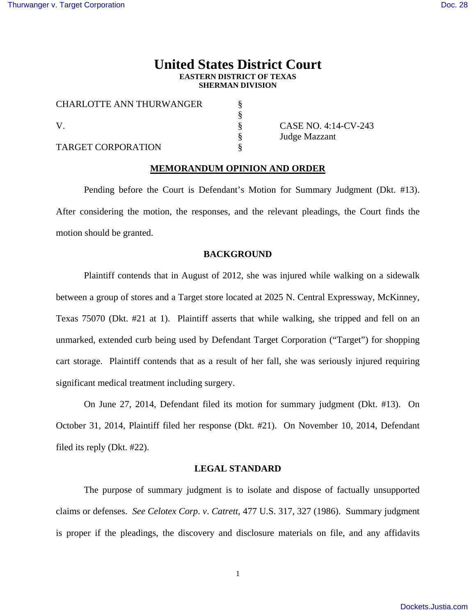# **United States District Court EASTERN DISTRICT OF TEXAS SHERMAN DIVISION**

| <b>CHARLOTTE ANN THURWANGER</b> |  |
|---------------------------------|--|
| V                               |  |
|                                 |  |
| <b>TARGET CORPORATION</b>       |  |

 $\S$  CASE NO. 4:14-CV-243 Judge Mazzant

## **MEMORANDUM OPINION AND ORDER**

 Pending before the Court is Defendant's Motion for Summary Judgment (Dkt. #13). After considering the motion, the responses, and the relevant pleadings, the Court finds the motion should be granted.

### **BACKGROUND**

 Plaintiff contends that in August of 2012, she was injured while walking on a sidewalk between a group of stores and a Target store located at 2025 N. Central Expressway, McKinney, Texas 75070 (Dkt. #21 at 1). Plaintiff asserts that while walking, she tripped and fell on an unmarked, extended curb being used by Defendant Target Corporation ("Target") for shopping cart storage. Plaintiff contends that as a result of her fall, she was seriously injured requiring significant medical treatment including surgery.

 On June 27, 2014, Defendant filed its motion for summary judgment (Dkt. #13). On October 31, 2014, Plaintiff filed her response (Dkt. #21). On November 10, 2014, Defendant filed its reply (Dkt. #22).

#### **LEGAL STANDARD**

The purpose of summary judgment is to isolate and dispose of factually unsupported claims or defenses. *See Celotex Corp*. *v*. *Catrett*, 477 U.S. 317, 327 (1986). Summary judgment is proper if the pleadings, the discovery and disclosure materials on file, and any affidavits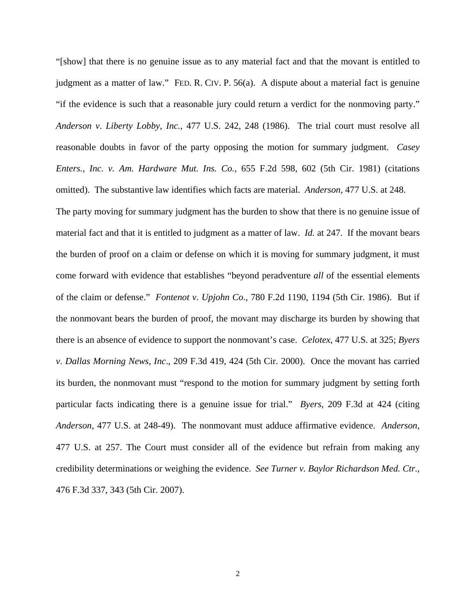"[show] that there is no genuine issue as to any material fact and that the movant is entitled to judgment as a matter of law." FED. R. CIV. P. 56(a). A dispute about a material fact is genuine "if the evidence is such that a reasonable jury could return a verdict for the nonmoving party." *Anderson v*. *Liberty Lobby, Inc.*, 477 U.S. 242, 248 (1986). The trial court must resolve all reasonable doubts in favor of the party opposing the motion for summary judgment. *Casey Enters., Inc. v. Am. Hardware Mut. Ins. Co.*, 655 F.2d 598, 602 (5th Cir. 1981) (citations omitted). The substantive law identifies which facts are material. *Anderson,* 477 U.S. at 248. The party moving for summary judgment has the burden to show that there is no genuine issue of material fact and that it is entitled to judgment as a matter of law. *Id.* at 247. If the movant bears the burden of proof on a claim or defense on which it is moving for summary judgment, it must come forward with evidence that establishes "beyond peradventure *all* of the essential elements of the claim or defense." *Fontenot v*. *Upjohn Co*., 780 F.2d 1190, 1194 (5th Cir. 1986). But if the nonmovant bears the burden of proof, the movant may discharge its burden by showing that there is an absence of evidence to support the nonmovant's case. *Celotex*, 477 U.S. at 325; *Byers v*. *Dallas Morning News*, *Inc*., 209 F.3d 419, 424 (5th Cir. 2000). Once the movant has carried its burden, the nonmovant must "respond to the motion for summary judgment by setting forth particular facts indicating there is a genuine issue for trial." *Byers*, 209 F.3d at 424 (citing *Anderson*, 477 U.S. at 248-49). The nonmovant must adduce affirmative evidence. *Anderson*, 477 U.S. at 257. The Court must consider all of the evidence but refrain from making any credibility determinations or weighing the evidence. *See Turner v. Baylor Richardson Med. Ctr.*, 476 F.3d 337, 343 (5th Cir. 2007).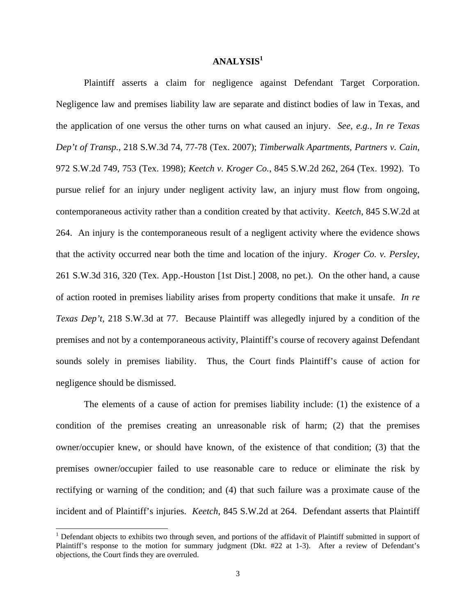# **ANALYSIS<sup>1</sup>**

 Plaintiff asserts a claim for negligence against Defendant Target Corporation. Negligence law and premises liability law are separate and distinct bodies of law in Texas, and the application of one versus the other turns on what caused an injury. *See, e.g., In re Texas Dep't of Transp.*, 218 S.W.3d 74, 77-78 (Tex. 2007); *Timberwalk Apartments, Partners v. Cain*, 972 S.W.2d 749, 753 (Tex. 1998); *Keetch v. Kroger Co.*, 845 S.W.2d 262, 264 (Tex. 1992). To pursue relief for an injury under negligent activity law, an injury must flow from ongoing, contemporaneous activity rather than a condition created by that activity. *Keetch*, 845 S.W.2d at 264. An injury is the contemporaneous result of a negligent activity where the evidence shows that the activity occurred near both the time and location of the injury. *Kroger Co. v. Persley*, 261 S.W.3d 316, 320 (Tex. App.-Houston [1st Dist.] 2008, no pet.). On the other hand, a cause of action rooted in premises liability arises from property conditions that make it unsafe. *In re Texas Dep't*, 218 S.W.3d at 77. Because Plaintiff was allegedly injured by a condition of the premises and not by a contemporaneous activity, Plaintiff's course of recovery against Defendant sounds solely in premises liability. Thus, the Court finds Plaintiff's cause of action for negligence should be dismissed.

 The elements of a cause of action for premises liability include: (1) the existence of a condition of the premises creating an unreasonable risk of harm; (2) that the premises owner/occupier knew, or should have known, of the existence of that condition; (3) that the premises owner/occupier failed to use reasonable care to reduce or eliminate the risk by rectifying or warning of the condition; and (4) that such failure was a proximate cause of the incident and of Plaintiff's injuries. *Keetch*, 845 S.W.2d at 264. Defendant asserts that Plaintiff

 $\overline{\phantom{a}}$ 

<sup>&</sup>lt;sup>1</sup> Defendant objects to exhibits two through seven, and portions of the affidavit of Plaintiff submitted in support of Plaintiff's response to the motion for summary judgment (Dkt. #22 at 1-3). After a review of Defendant's objections, the Court finds they are overruled.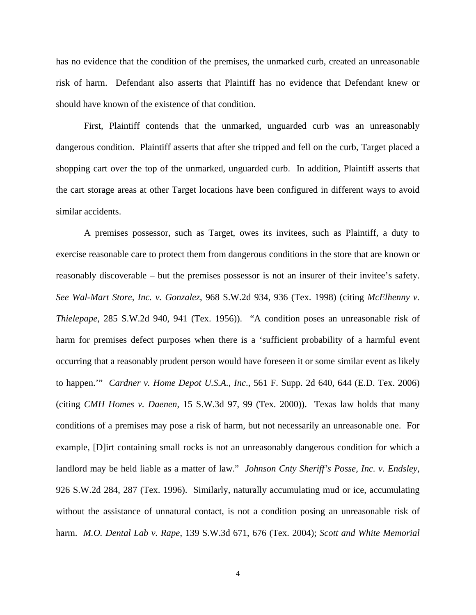has no evidence that the condition of the premises, the unmarked curb, created an unreasonable risk of harm. Defendant also asserts that Plaintiff has no evidence that Defendant knew or should have known of the existence of that condition.

 First, Plaintiff contends that the unmarked, unguarded curb was an unreasonably dangerous condition. Plaintiff asserts that after she tripped and fell on the curb, Target placed a shopping cart over the top of the unmarked, unguarded curb. In addition, Plaintiff asserts that the cart storage areas at other Target locations have been configured in different ways to avoid similar accidents.

A premises possessor, such as Target, owes its invitees, such as Plaintiff, a duty to exercise reasonable care to protect them from dangerous conditions in the store that are known or reasonably discoverable – but the premises possessor is not an insurer of their invitee's safety. *See Wal-Mart Store, Inc. v. Gonzalez*, 968 S.W.2d 934, 936 (Tex. 1998) (citing *McElhenny v. Thielepape*, 285 S.W.2d 940, 941 (Tex. 1956)). "A condition poses an unreasonable risk of harm for premises defect purposes when there is a 'sufficient probability of a harmful event occurring that a reasonably prudent person would have foreseen it or some similar event as likely to happen.'" *Cardner v. Home Depot U.S.A., Inc*., 561 F. Supp. 2d 640, 644 (E.D. Tex. 2006) (citing *CMH Homes v. Daenen*, 15 S.W.3d 97, 99 (Tex. 2000)). Texas law holds that many conditions of a premises may pose a risk of harm, but not necessarily an unreasonable one. For example, [D]irt containing small rocks is not an unreasonably dangerous condition for which a landlord may be held liable as a matter of law." *Johnson Cnty Sheriff's Posse, Inc. v. Endsley*, 926 S.W.2d 284, 287 (Tex. 1996). Similarly, naturally accumulating mud or ice, accumulating without the assistance of unnatural contact, is not a condition posing an unreasonable risk of harm. *M.O. Dental Lab v. Rape*, 139 S.W.3d 671, 676 (Tex. 2004); *Scott and White Memorial*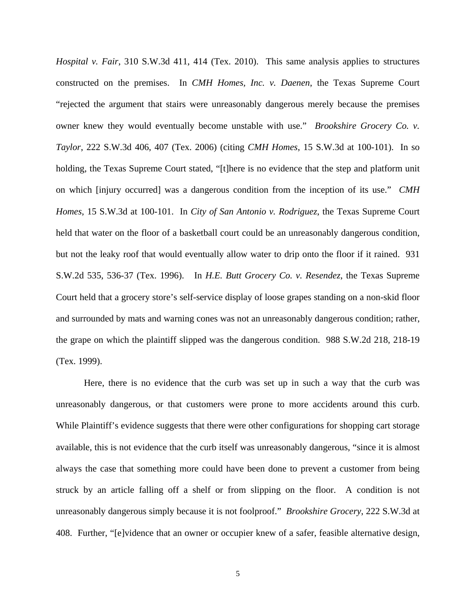*Hospital v. Fair*, 310 S.W.3d 411, 414 (Tex. 2010). This same analysis applies to structures constructed on the premises. In *CMH Homes, Inc. v. Daenen*, the Texas Supreme Court "rejected the argument that stairs were unreasonably dangerous merely because the premises owner knew they would eventually become unstable with use." *Brookshire Grocery Co. v. Taylor*, 222 S.W.3d 406, 407 (Tex. 2006) (citing *CMH Homes*, 15 S.W.3d at 100-101). In so holding, the Texas Supreme Court stated, "[t]here is no evidence that the step and platform unit on which [injury occurred] was a dangerous condition from the inception of its use." *CMH Homes*, 15 S.W.3d at 100-101. In *City of San Antonio v. Rodriguez*, the Texas Supreme Court held that water on the floor of a basketball court could be an unreasonably dangerous condition, but not the leaky roof that would eventually allow water to drip onto the floor if it rained. 931 S.W.2d 535, 536-37 (Tex. 1996). In *H.E. Butt Grocery Co. v. Resendez*, the Texas Supreme Court held that a grocery store's self-service display of loose grapes standing on a non-skid floor and surrounded by mats and warning cones was not an unreasonably dangerous condition; rather, the grape on which the plaintiff slipped was the dangerous condition. 988 S.W.2d 218, 218-19 (Tex. 1999).

 Here, there is no evidence that the curb was set up in such a way that the curb was unreasonably dangerous, or that customers were prone to more accidents around this curb. While Plaintiff's evidence suggests that there were other configurations for shopping cart storage available, this is not evidence that the curb itself was unreasonably dangerous, "since it is almost always the case that something more could have been done to prevent a customer from being struck by an article falling off a shelf or from slipping on the floor. A condition is not unreasonably dangerous simply because it is not foolproof." *Brookshire Grocery*, 222 S.W.3d at 408. Further, "[e]vidence that an owner or occupier knew of a safer, feasible alternative design,